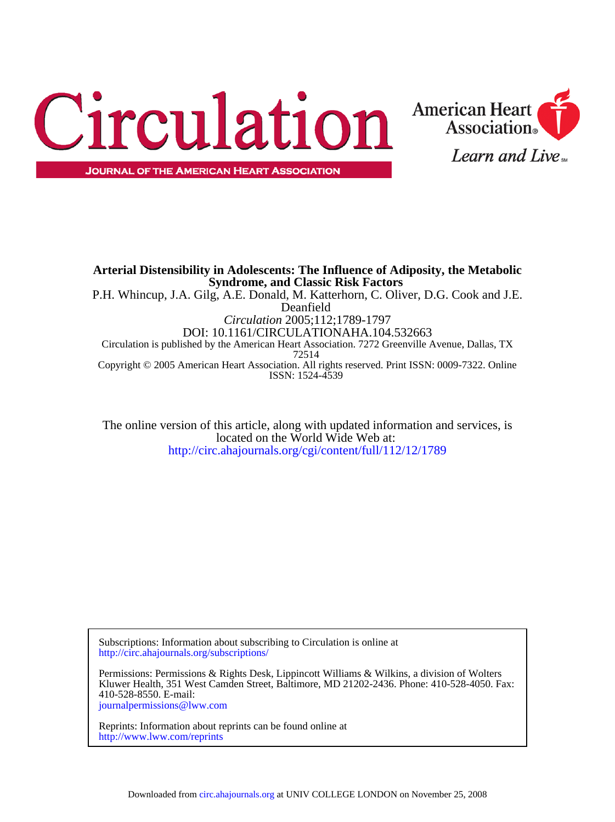



ISSN: 1524-4539 Copyright © 2005 American Heart Association. All rights reserved. Print ISSN: 0009-7322. Online 72514 Circulation is published by the American Heart Association. 7272 Greenville Avenue, Dallas, TX DOI: 10.1161/CIRCULATIONAHA.104.532663 *Circulation* 2005;112;1789-1797 Deanfield P.H. Whincup, J.A. Gilg, A.E. Donald, M. Katterhorn, C. Oliver, D.G. Cook and J.E. **Syndrome, and Classic Risk Factors Arterial Distensibility in Adolescents: The Influence of Adiposity, the Metabolic**

<http://circ.ahajournals.org/cgi/content/full/112/12/1789> located on the World Wide Web at: The online version of this article, along with updated information and services, is

<http://circ.ahajournals.org/subscriptions/> Subscriptions: Information about subscribing to Circulation is online at

[journalpermissions@lww.com](mailto:journalpermissions@lww.com) 410-528-8550. E-mail: Kluwer Health, 351 West Camden Street, Baltimore, MD 21202-2436. Phone: 410-528-4050. Fax: Permissions: Permissions & Rights Desk, Lippincott Williams & Wilkins, a division of Wolters

<http://www.lww.com/reprints> Reprints: Information about reprints can be found online at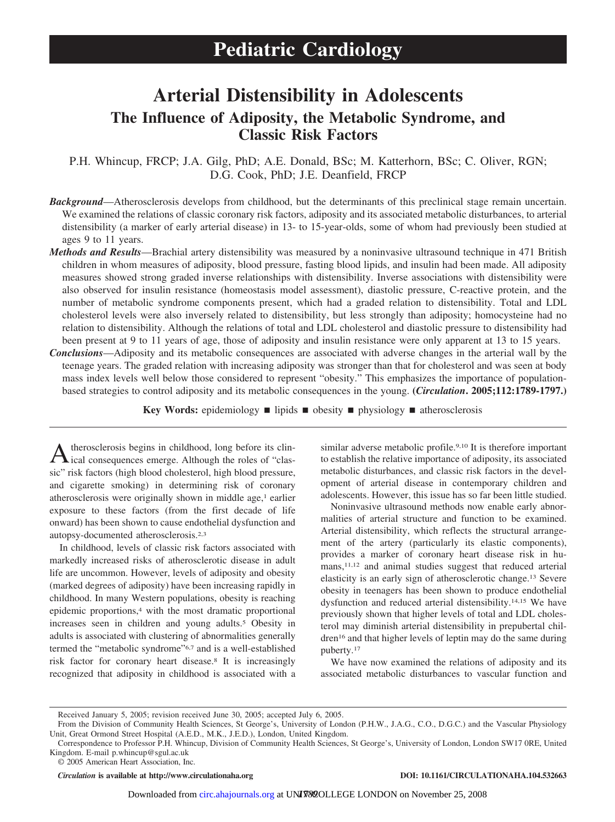# **Arterial Distensibility in Adolescents The Influence of Adiposity, the Metabolic Syndrome, and Classic Risk Factors**

P.H. Whincup, FRCP; J.A. Gilg, PhD; A.E. Donald, BSc; M. Katterhorn, BSc; C. Oliver, RGN; D.G. Cook, PhD; J.E. Deanfield, FRCP

- *Background*—Atherosclerosis develops from childhood, but the determinants of this preclinical stage remain uncertain. We examined the relations of classic coronary risk factors, adiposity and its associated metabolic disturbances, to arterial distensibility (a marker of early arterial disease) in 13- to 15-year-olds, some of whom had previously been studied at ages 9 to 11 years.
- *Methods and Results*—Brachial artery distensibility was measured by a noninvasive ultrasound technique in 471 British children in whom measures of adiposity, blood pressure, fasting blood lipids, and insulin had been made. All adiposity measures showed strong graded inverse relationships with distensibility. Inverse associations with distensibility were also observed for insulin resistance (homeostasis model assessment), diastolic pressure, C-reactive protein, and the number of metabolic syndrome components present, which had a graded relation to distensibility. Total and LDL cholesterol levels were also inversely related to distensibility, but less strongly than adiposity; homocysteine had no relation to distensibility. Although the relations of total and LDL cholesterol and diastolic pressure to distensibility had been present at 9 to 11 years of age, those of adiposity and insulin resistance were only apparent at 13 to 15 years.
- *Conclusions*—Adiposity and its metabolic consequences are associated with adverse changes in the arterial wall by the teenage years. The graded relation with increasing adiposity was stronger than that for cholesterol and was seen at body mass index levels well below those considered to represent "obesity." This emphasizes the importance of populationbased strategies to control adiposity and its metabolic consequences in the young. **(***Circulation***. 2005;112:1789-1797.)**

**Key Words:** epidemiology  $\blacksquare$  lipids  $\blacksquare$  obesity  $\blacksquare$  physiology  $\blacksquare$  atherosclerosis

A therosclerosis begins in childhood, long before its clin-<br>cial consequences emerge. Although the roles of "classic" risk factors (high blood cholesterol, high blood pressure, and cigarette smoking) in determining risk of coronary atherosclerosis were originally shown in middle age,1 earlier exposure to these factors (from the first decade of life onward) has been shown to cause endothelial dysfunction and autopsy-documented atherosclerosis.2,3

In childhood, levels of classic risk factors associated with markedly increased risks of atherosclerotic disease in adult life are uncommon. However, levels of adiposity and obesity (marked degrees of adiposity) have been increasing rapidly in childhood. In many Western populations, obesity is reaching epidemic proportions,4 with the most dramatic proportional increases seen in children and young adults.5 Obesity in adults is associated with clustering of abnormalities generally termed the "metabolic syndrome"6,7 and is a well-established risk factor for coronary heart disease.8 It is increasingly recognized that adiposity in childhood is associated with a

similar adverse metabolic profile.9,10 It is therefore important to establish the relative importance of adiposity, its associated metabolic disturbances, and classic risk factors in the development of arterial disease in contemporary children and adolescents. However, this issue has so far been little studied.

Noninvasive ultrasound methods now enable early abnormalities of arterial structure and function to be examined. Arterial distensibility, which reflects the structural arrangement of the artery (particularly its elastic components), provides a marker of coronary heart disease risk in humans,11,12 and animal studies suggest that reduced arterial elasticity is an early sign of atherosclerotic change.13 Severe obesity in teenagers has been shown to produce endothelial dysfunction and reduced arterial distensibility.14,15 We have previously shown that higher levels of total and LDL cholesterol may diminish arterial distensibility in prepubertal children16 and that higher levels of leptin may do the same during puberty.17

We have now examined the relations of adiposity and its associated metabolic disturbances to vascular function and

© 2005 American Heart Association, Inc.

Received January 5, 2005; revision received June 30, 2005; accepted July 6, 2005.

From the Division of Community Health Sciences, St George's, University of London (P.H.W., J.A.G., C.O., D.G.C.) and the Vascular Physiology Unit, Great Ormond Street Hospital (A.E.D., M.K., J.E.D.), London, United Kingdom.

Correspondence to Professor P.H. Whincup, Division of Community Health Sciences, St George's, University of London, London SW17 0RE, United Kingdom. E-mail p.whincup@sgul.ac.uk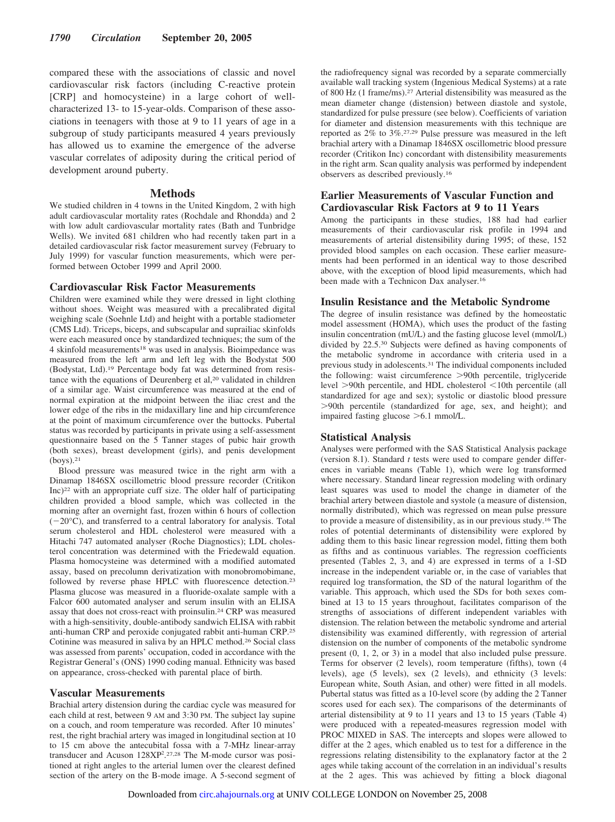compared these with the associations of classic and novel cardiovascular risk factors (including C-reactive protein [CRP] and homocysteine) in a large cohort of wellcharacterized 13- to 15-year-olds. Comparison of these associations in teenagers with those at 9 to 11 years of age in a subgroup of study participants measured 4 years previously has allowed us to examine the emergence of the adverse vascular correlates of adiposity during the critical period of development around puberty.

#### **Methods**

We studied children in 4 towns in the United Kingdom, 2 with high adult cardiovascular mortality rates (Rochdale and Rhondda) and 2 with low adult cardiovascular mortality rates (Bath and Tunbridge Wells). We invited 681 children who had recently taken part in a detailed cardiovascular risk factor measurement survey (February to July 1999) for vascular function measurements, which were performed between October 1999 and April 2000.

#### **Cardiovascular Risk Factor Measurements**

Children were examined while they were dressed in light clothing without shoes. Weight was measured with a precalibrated digital weighing scale (Soehnle Ltd) and height with a portable stadiometer (CMS Ltd). Triceps, biceps, and subscapular and suprailiac skinfolds were each measured once by standardized techniques; the sum of the 4 skinfold measurements18 was used in analysis. Bioimpedance was measured from the left arm and left leg with the Bodystat 500 (Bodystat, Ltd).19 Percentage body fat was determined from resistance with the equations of Deurenberg et al,<sup>20</sup> validated in children of a similar age. Waist circumference was measured at the end of normal expiration at the midpoint between the iliac crest and the lower edge of the ribs in the midaxillary line and hip circumference at the point of maximum circumference over the buttocks. Pubertal status was recorded by participants in private using a self-assessment questionnaire based on the 5 Tanner stages of pubic hair growth (both sexes), breast development (girls), and penis development  $(bovs).<sup>21</sup>$ 

Blood pressure was measured twice in the right arm with a Dinamap 1846SX oscillometric blood pressure recorder (Critikon Inc)22 with an appropriate cuff size. The older half of participating children provided a blood sample, which was collected in the morning after an overnight fast, frozen within 6 hours of collection  $(-20^{\circ}\text{C})$ , and transferred to a central laboratory for analysis. Total serum cholesterol and HDL cholesterol were measured with a Hitachi 747 automated analyser (Roche Diagnostics); LDL cholesterol concentration was determined with the Friedewald equation. Plasma homocysteine was determined with a modified automated assay, based on precolumn derivatization with monobromobimane, followed by reverse phase HPLC with fluorescence detection.<sup>23</sup> Plasma glucose was measured in a fluoride-oxalate sample with a Falcor 600 automated analyser and serum insulin with an ELISA assay that does not cross-react with proinsulin.24 CRP was measured with a high-sensitivity, double-antibody sandwich ELISA with rabbit anti-human CRP and peroxide conjugated rabbit anti-human CRP.25 Cotinine was measured in saliva by an HPLC method.26 Social class was assessed from parents' occupation, coded in accordance with the Registrar General's (ONS) 1990 coding manual. Ethnicity was based on appearance, cross-checked with parental place of birth.

# **Vascular Measurements**

Brachial artery distension during the cardiac cycle was measured for each child at rest, between 9 AM and 3:30 PM. The subject lay supine on a couch, and room temperature was recorded. After 10 minutes' rest, the right brachial artery was imaged in longitudinal section at 10 to 15 cm above the antecubital fossa with a 7-MHz linear-array transducer and Acuson 128XP<sup>2</sup>.<sup>27,28</sup> The M-mode cursor was positioned at right angles to the arterial lumen over the clearest defined section of the artery on the B-mode image. A 5-second segment of the radiofrequency signal was recorded by a separate commercially available wall tracking system (Ingenious Medical Systems) at a rate of 800 Hz (1 frame/ms).27 Arterial distensibility was measured as the mean diameter change (distension) between diastole and systole, standardized for pulse pressure (see below). Coefficients of variation for diameter and distension measurements with this technique are reported as 2% to 3%.27,29 Pulse pressure was measured in the left brachial artery with a Dinamap 1846SX oscillometric blood pressure recorder (Critikon Inc) concordant with distensibility measurements in the right arm. Scan quality analysis was performed by independent observers as described previously.16

# **Earlier Measurements of Vascular Function and Cardiovascular Risk Factors at 9 to 11 Years**

Among the participants in these studies, 188 had had earlier measurements of their cardiovascular risk profile in 1994 and measurements of arterial distensibility during 1995; of these, 152 provided blood samples on each occasion. These earlier measurements had been performed in an identical way to those described above, with the exception of blood lipid measurements, which had been made with a Technicon Dax analyser.16

# **Insulin Resistance and the Metabolic Syndrome**

The degree of insulin resistance was defined by the homeostatic model assessment (HOMA), which uses the product of the fasting insulin concentration (mU/L) and the fasting glucose level (mmol/L) divided by 22.5.30 Subjects were defined as having components of the metabolic syndrome in accordance with criteria used in a previous study in adolescents.31 The individual components included the following: waist circumference >90th percentile, triglyceride level >90th percentile, and HDL cholesterol <10th percentile (all standardized for age and sex); systolic or diastolic blood pressure -90th percentile (standardized for age, sex, and height); and impaired fasting glucose > 6.1 mmol/L.

# **Statistical Analysis**

Analyses were performed with the SAS Statistical Analysis package (version 8.1). Standard *t* tests were used to compare gender differences in variable means (Table 1), which were log transformed where necessary. Standard linear regression modeling with ordinary least squares was used to model the change in diameter of the brachial artery between diastole and systole (a measure of distension, normally distributed), which was regressed on mean pulse pressure to provide a measure of distensibility, as in our previous study.16 The roles of potential determinants of distensibility were explored by adding them to this basic linear regression model, fitting them both as fifths and as continuous variables. The regression coefficients presented (Tables 2, 3, and 4) are expressed in terms of a 1-SD increase in the independent variable or, in the case of variables that required log transformation, the SD of the natural logarithm of the variable. This approach, which used the SDs for both sexes combined at 13 to 15 years throughout, facilitates comparison of the strengths of associations of different independent variables with distension. The relation between the metabolic syndrome and arterial distensibility was examined differently, with regression of arterial distension on the number of components of the metabolic syndrome present (0, 1, 2, or 3) in a model that also included pulse pressure. Terms for observer (2 levels), room temperature (fifths), town (4 levels), age (5 levels), sex (2 levels), and ethnicity (3 levels: European white, South Asian, and other) were fitted in all models. Pubertal status was fitted as a 10-level score (by adding the 2 Tanner scores used for each sex). The comparisons of the determinants of arterial distensibility at 9 to 11 years and 13 to 15 years (Table 4) were produced with a repeated-measures regression model with PROC MIXED in SAS. The intercepts and slopes were allowed to differ at the 2 ages, which enabled us to test for a difference in the regressions relating distensibility to the explanatory factor at the 2 ages while taking account of the correlation in an individual's results at the 2 ages. This was achieved by fitting a block diagonal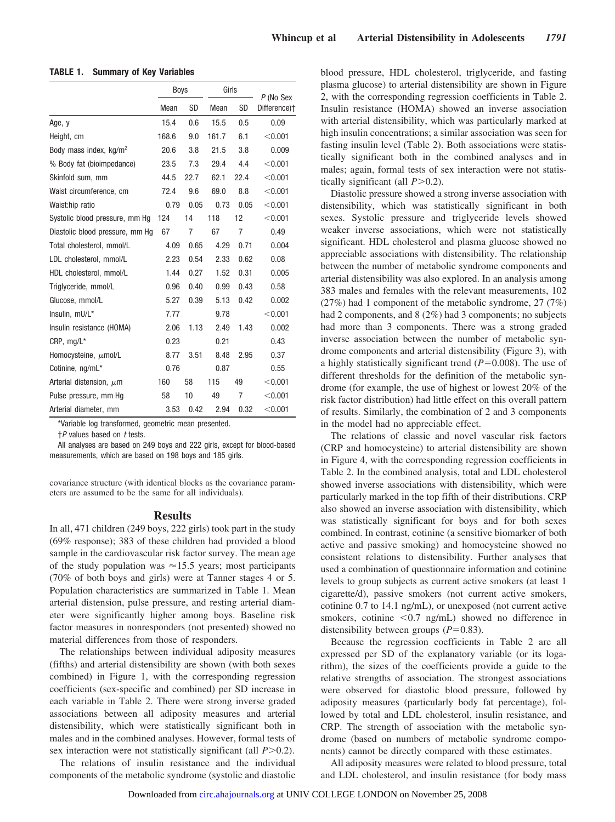|                                 | <b>Boys</b> |      | Girls |                |                                       |  |
|---------------------------------|-------------|------|-------|----------------|---------------------------------------|--|
|                                 | Mean        | SD   | Mean  | <b>SD</b>      | P (No Sex<br>Difference) <sup>+</sup> |  |
| Age, y                          | 15.4        | 0.6  | 15.5  | 0.5            | 0.09                                  |  |
| Height, cm                      | 168.6       | 9.0  | 161.7 | 6.1            | < 0.001                               |  |
| Body mass index, $kg/m2$        | 20.6        | 3.8  | 21.5  | 3.8            | 0.009                                 |  |
| % Body fat (bioimpedance)       | 23.5        | 7.3  | 29.4  | 4.4            | < 0.001                               |  |
| Skinfold sum, mm                | 44.5        | 22.7 | 62.1  | 22.4           | < 0.001                               |  |
| Waist circumference, cm         | 72.4        | 9.6  | 69.0  | 8.8            | < 0.001                               |  |
| Waist:hip ratio                 | 0.79        | 0.05 | 0.73  | 0.05           | < 0.001                               |  |
| Systolic blood pressure, mm Hg  | 124         | 14   | 118   | 12             | < 0.001                               |  |
| Diastolic blood pressure, mm Hq | 67          | 7    | 67    | 7              | 0.49                                  |  |
| Total cholesterol, mmol/L       | 4.09        | 0.65 | 4.29  | 0.71           | 0.004                                 |  |
| LDL cholesterol, mmol/L         | 2.23        | 0.54 | 2.33  | 0.62           | 0.08                                  |  |
| HDL cholesterol, mmol/L         | 1.44        | 0.27 | 1.52  | 0.31           | 0.005                                 |  |
| Triglyceride, mmol/L            | 0.96        | 0.40 | 0.99  | 0.43           | 0.58                                  |  |
| Glucose, mmol/L                 | 5.27        | 0.39 | 5.13  | 0.42           | 0.002                                 |  |
| Insulin, mU/L*                  | 7.77        |      | 9.78  |                | < 0.001                               |  |
| Insulin resistance (HOMA)       | 2.06        | 1.13 | 2.49  | 1.43           | 0.002                                 |  |
| $CRP, mg/L^*$                   | 0.23        |      | 0.21  |                | 0.43                                  |  |
| Homocysteine, $\mu$ mol/L       | 8.77        | 3.51 | 8.48  | 2.95           | 0.37                                  |  |
| Cotinine, ng/mL*                | 0.76        |      | 0.87  |                | 0.55                                  |  |
| Arterial distension, $\mu$ m    | 160         | 58   | 115   | 49             | < 0.001                               |  |
| Pulse pressure, mm Hg           | 58          | 10   | 49    | $\overline{7}$ | < 0.001                               |  |
| Arterial diameter, mm           | 3.53        | 0.42 | 2.94  | 0.32           | < 0.001                               |  |

| TABLE 1. | <b>Summary of Key Variables</b> |  |  |
|----------|---------------------------------|--|--|
|----------|---------------------------------|--|--|

\*Variable log transformed, geometric mean presented.

†*P* values based on *t* tests.

All analyses are based on 249 boys and 222 girls, except for blood-based measurements, which are based on 198 boys and 185 girls.

covariance structure (with identical blocks as the covariance parameters are assumed to be the same for all individuals).

#### **Results**

In all, 471 children (249 boys, 222 girls) took part in the study (69% response); 383 of these children had provided a blood sample in the cardiovascular risk factor survey. The mean age of the study population was  $\approx$  15.5 years; most participants (70% of both boys and girls) were at Tanner stages 4 or 5. Population characteristics are summarized in Table 1. Mean arterial distension, pulse pressure, and resting arterial diameter were significantly higher among boys. Baseline risk factor measures in nonresponders (not presented) showed no material differences from those of responders.

The relationships between individual adiposity measures (fifths) and arterial distensibility are shown (with both sexes combined) in Figure 1, with the corresponding regression coefficients (sex-specific and combined) per SD increase in each variable in Table 2. There were strong inverse graded associations between all adiposity measures and arterial distensibility, which were statistically significant both in males and in the combined analyses. However, formal tests of sex interaction were not statistically significant (all *P*>0.2).

The relations of insulin resistance and the individual components of the metabolic syndrome (systolic and diastolic blood pressure, HDL cholesterol, triglyceride, and fasting plasma glucose) to arterial distensibility are shown in Figure 2, with the corresponding regression coefficients in Table 2. Insulin resistance (HOMA) showed an inverse association with arterial distensibility, which was particularly marked at high insulin concentrations; a similar association was seen for fasting insulin level (Table 2). Both associations were statistically significant both in the combined analyses and in males; again, formal tests of sex interaction were not statistically significant (all *P*>0.2).

Diastolic pressure showed a strong inverse association with distensibility, which was statistically significant in both sexes. Systolic pressure and triglyceride levels showed weaker inverse associations, which were not statistically significant. HDL cholesterol and plasma glucose showed no appreciable associations with distensibility. The relationship between the number of metabolic syndrome components and arterial distensibility was also explored. In an analysis among 383 males and females with the relevant measurements, 102 (27%) had 1 component of the metabolic syndrome, 27 (7%) had 2 components, and 8 (2%) had 3 components; no subjects had more than 3 components. There was a strong graded inverse association between the number of metabolic syndrome components and arterial distensibility (Figure 3), with a highly statistically significant trend  $(P=0.008)$ . The use of different thresholds for the definition of the metabolic syndrome (for example, the use of highest or lowest 20% of the risk factor distribution) had little effect on this overall pattern of results. Similarly, the combination of 2 and 3 components in the model had no appreciable effect.

The relations of classic and novel vascular risk factors (CRP and homocysteine) to arterial distensibility are shown in Figure 4, with the corresponding regression coefficients in Table 2. In the combined analysis, total and LDL cholesterol showed inverse associations with distensibility, which were particularly marked in the top fifth of their distributions. CRP also showed an inverse association with distensibility, which was statistically significant for boys and for both sexes combined. In contrast, cotinine (a sensitive biomarker of both active and passive smoking) and homocysteine showed no consistent relations to distensibility. Further analyses that used a combination of questionnaire information and cotinine levels to group subjects as current active smokers (at least 1 cigarette/d), passive smokers (not current active smokers, cotinine 0.7 to 14.1 ng/mL), or unexposed (not current active smokers, cotinine  $\langle 0.7 \text{ ng/mL} \rangle$  showed no difference in distensibility between groups  $(P=0.83)$ .

Because the regression coefficients in Table 2 are all expressed per SD of the explanatory variable (or its logarithm), the sizes of the coefficients provide a guide to the relative strengths of association. The strongest associations were observed for diastolic blood pressure, followed by adiposity measures (particularly body fat percentage), followed by total and LDL cholesterol, insulin resistance, and CRP. The strength of association with the metabolic syndrome (based on numbers of metabolic syndrome components) cannot be directly compared with these estimates.

All adiposity measures were related to blood pressure, total and LDL cholesterol, and insulin resistance (for body mass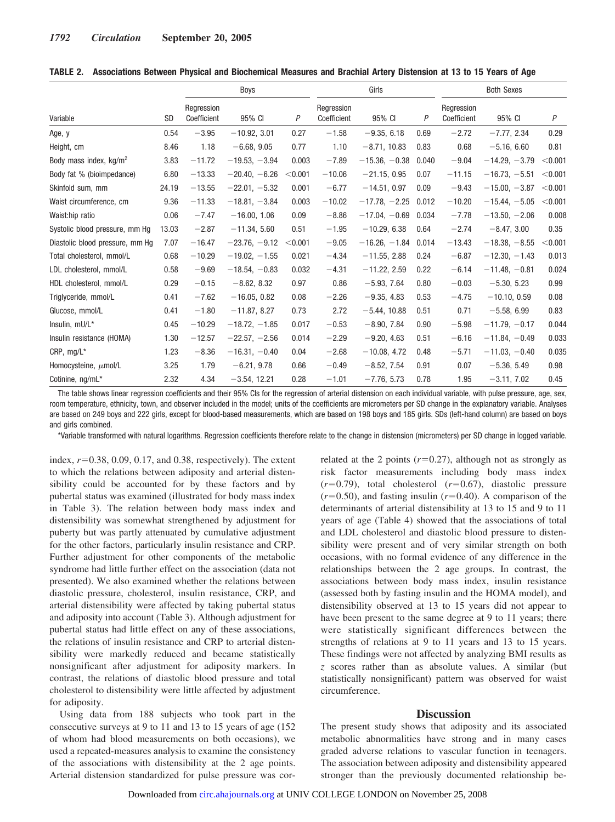|                                 |           |                           | Boys            |         | Girls                     |                       |       | <b>Both Sexes</b>         |                 |         |
|---------------------------------|-----------|---------------------------|-----------------|---------|---------------------------|-----------------------|-------|---------------------------|-----------------|---------|
| Variable                        | <b>SD</b> | Regression<br>Coefficient | 95% CI          | P       | Regression<br>Coefficient | 95% CI                | P     | Regression<br>Coefficient | 95% CI          | P       |
| Age, y                          | 0.54      | $-3.95$                   | $-10.92, 3.01$  | 0.27    | $-1.58$                   | $-9.35, 6.18$         | 0.69  | $-2.72$                   | $-7.77, 2.34$   | 0.29    |
| Height, cm                      | 8.46      | 1.18                      | $-6.68, 9.05$   | 0.77    | 1.10                      | $-8.71, 10.83$        | 0.83  | 0.68                      | $-5.16, 6.60$   | 0.81    |
| Body mass index, $kg/m2$        | 3.83      | $-11.72$                  | $-19.53, -3.94$ | 0.003   | $-7.89$                   | $-15.36, -0.38$       | 0.040 | $-9.04$                   | $-14.29, -3.79$ | < 0.001 |
| Body fat % (bioimpedance)       | 6.80      | $-13.33$                  | $-20.40, -6.26$ | < 0.001 | $-10.06$                  | $-21.15, 0.95$        | 0.07  | $-11.15$                  | $-16.73, -5.51$ | < 0.001 |
| Skinfold sum, mm                | 24.19     | $-13.55$                  | $-22.01, -5.32$ | 0.001   | $-6.77$                   | $-14.51, 0.97$        | 0.09  | $-9.43$                   | $-15.00, -3.87$ | < 0.001 |
| Waist circumference, cm         | 9.36      | $-11.33$                  | $-18.81, -3.84$ | 0.003   | $-10.02$                  | $-17.78, -2.25$       | 0.012 | $-10.20$                  | $-15.44, -5.05$ | < 0.001 |
| Waist:hip ratio                 | 0.06      | $-7.47$                   | $-16.00, 1.06$  | 0.09    | $-8.86$                   | $-17.04, -0.69$       | 0.034 | $-7.78$                   | $-13.50, -2.06$ | 0.008   |
| Systolic blood pressure, mm Hq  | 13.03     | $-2.87$                   | $-11.34, 5.60$  | 0.51    | $-1.95$                   | $-10.29, 6.38$        | 0.64  | $-2.74$                   | $-8.47, 3.00$   | 0.35    |
| Diastolic blood pressure, mm Hq | 7.07      | $-16.47$                  | $-23.76, -9.12$ | < 0.001 | $-9.05$                   | $-16.26, -1.84$ 0.014 |       | $-13.43$                  | $-18.38, -8.55$ | < 0.001 |
| Total cholesterol, mmol/L       | 0.68      | $-10.29$                  | $-19.02, -1.55$ | 0.021   | $-4.34$                   | $-11.55, 2.88$        | 0.24  | $-6.87$                   | $-12.30, -1.43$ | 0.013   |
| LDL cholesterol, mmol/L         | 0.58      | $-9.69$                   | $-18.54, -0.83$ | 0.032   | $-4.31$                   | $-11.22, 2.59$        | 0.22  | $-6.14$                   | $-11.48, -0.81$ | 0.024   |
| HDL cholesterol, mmol/L         | 0.29      | $-0.15$                   | $-8.62, 8.32$   | 0.97    | 0.86                      | $-5.93, 7.64$         | 0.80  | $-0.03$                   | $-5.30, 5.23$   | 0.99    |
| Triglyceride, mmol/L            | 0.41      | $-7.62$                   | $-16.05, 0.82$  | 0.08    | $-2.26$                   | $-9.35, 4.83$         | 0.53  | $-4.75$                   | $-10.10, 0.59$  | 0.08    |
| Glucose, mmol/L                 | 0.41      | $-1.80$                   | $-11.87, 8.27$  | 0.73    | 2.72                      | $-5.44, 10.88$        | 0.51  | 0.71                      | $-5.58, 6.99$   | 0.83    |
| Insulin, mU/L*                  | 0.45      | $-10.29$                  | $-18.72, -1.85$ | 0.017   | $-0.53$                   | $-8.90, 7.84$         | 0.90  | $-5.98$                   | $-11.79, -0.17$ | 0.044   |
| Insulin resistance (HOMA)       | 1.30      | $-12.57$                  | $-22.57, -2.56$ | 0.014   | $-2.29$                   | $-9.20, 4.63$         | 0.51  | $-6.16$                   | $-11.84, -0.49$ | 0.033   |
| $CRP$ , mg/ $L^*$               | 1.23      | $-8.36$                   | $-16.31, -0.40$ | 0.04    | $-2.68$                   | $-10.08, 4.72$        | 0.48  | $-5.71$                   | $-11.03, -0.40$ | 0.035   |
| Homocysteine, $\mu$ mol/L       | 3.25      | 1.79                      | $-6.21, 9.78$   | 0.66    | $-0.49$                   | $-8.52, 7.54$         | 0.91  | 0.07                      | $-5.36, 5.49$   | 0.98    |
| Cotinine, ng/mL*                | 2.32      | 4.34                      | $-3.54, 12.21$  | 0.28    | $-1.01$                   | $-7.76, 5.73$         | 0.78  | 1.95                      | $-3.11, 7.02$   | 0.45    |

|  |  |  | TABLE 2. Associations Between Physical and Biochemical Measures and Brachial Artery Distension at 13 to 15 Years of Age |  |  |  |  |
|--|--|--|-------------------------------------------------------------------------------------------------------------------------|--|--|--|--|
|--|--|--|-------------------------------------------------------------------------------------------------------------------------|--|--|--|--|

The table shows linear regression coefficients and their 95% CIs for the regression of arterial distension on each individual variable, with pulse pressure, age, sex, room temperature, ethnicity, town, and observer included in the model; units of the coefficients are micrometers per SD change in the explanatory variable. Analyses are based on 249 boys and 222 girls, except for blood-based measurements, which are based on 198 boys and 185 girls. SDs (left-hand column) are based on boys and girls combined.

\*Variable transformed with natural logarithms. Regression coefficients therefore relate to the change in distension (micrometers) per SD change in logged variable.

index,  $r=0.38, 0.09, 0.17,$  and 0.38, respectively). The extent to which the relations between adiposity and arterial distensibility could be accounted for by these factors and by pubertal status was examined (illustrated for body mass index in Table 3). The relation between body mass index and distensibility was somewhat strengthened by adjustment for puberty but was partly attenuated by cumulative adjustment for the other factors, particularly insulin resistance and CRP. Further adjustment for other components of the metabolic syndrome had little further effect on the association (data not presented). We also examined whether the relations between diastolic pressure, cholesterol, insulin resistance, CRP, and arterial distensibility were affected by taking pubertal status and adiposity into account (Table 3). Although adjustment for pubertal status had little effect on any of these associations, the relations of insulin resistance and CRP to arterial distensibility were markedly reduced and became statistically nonsignificant after adjustment for adiposity markers. In contrast, the relations of diastolic blood pressure and total cholesterol to distensibility were little affected by adjustment for adiposity.

Using data from 188 subjects who took part in the consecutive surveys at 9 to 11 and 13 to 15 years of age (152 of whom had blood measurements on both occasions), we used a repeated-measures analysis to examine the consistency of the associations with distensibility at the 2 age points. Arterial distension standardized for pulse pressure was correlated at the 2 points  $(r=0.27)$ , although not as strongly as risk factor measurements including body mass index  $(r=0.79)$ , total cholesterol  $(r=0.67)$ , diastolic pressure  $(r=0.50)$ , and fasting insulin  $(r=0.40)$ . A comparison of the determinants of arterial distensibility at 13 to 15 and 9 to 11 years of age (Table 4) showed that the associations of total and LDL cholesterol and diastolic blood pressure to distensibility were present and of very similar strength on both occasions, with no formal evidence of any difference in the relationships between the 2 age groups. In contrast, the associations between body mass index, insulin resistance (assessed both by fasting insulin and the HOMA model), and distensibility observed at 13 to 15 years did not appear to have been present to the same degree at 9 to 11 years; there were statistically significant differences between the strengths of relations at 9 to 11 years and 13 to 15 years. These findings were not affected by analyzing BMI results as *z* scores rather than as absolute values. A similar (but statistically nonsignificant) pattern was observed for waist circumference.

# **Discussion**

The present study shows that adiposity and its associated metabolic abnormalities have strong and in many cases graded adverse relations to vascular function in teenagers. The association between adiposity and distensibility appeared stronger than the previously documented relationship be-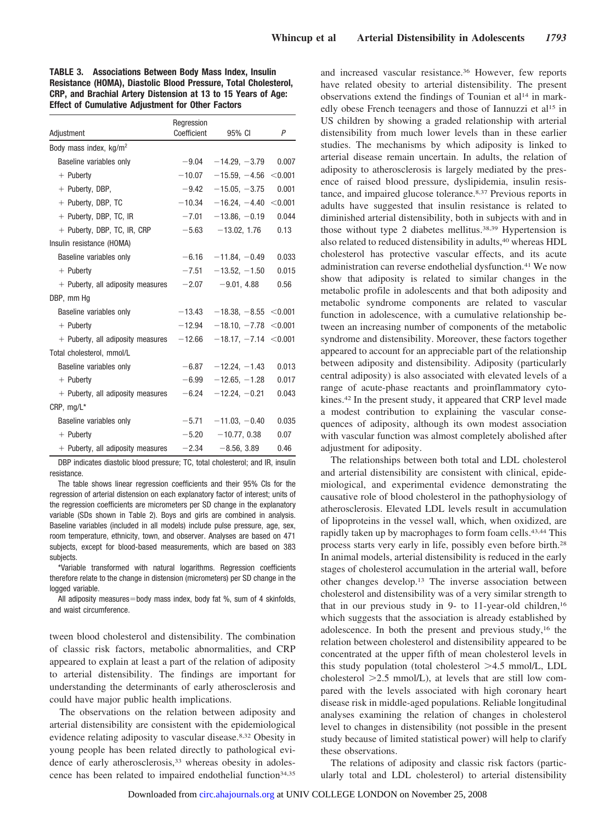**TABLE 3. Associations Between Body Mass Index, Insulin Resistance (HOMA), Diastolic Blood Pressure, Total Cholesterol, CRP, and Brachial Artery Distension at 13 to 15 Years of Age: Effect of Cumulative Adjustment for Other Factors**

|                                     | Regression  |                         |         |
|-------------------------------------|-------------|-------------------------|---------|
| Adjustment                          | Coefficient | 95% CI                  | P       |
| Body mass index, kg/m <sup>2</sup>  |             |                         |         |
| Baseline variables only             | $-9.04$     | $-14.29, -3.79$         | 0.007   |
| $+$ Puberty                         | $-10.07$    | $-15.59, -4.56$         | < 0.001 |
| + Puberty, DBP,                     | $-9.42$     | $-15.05, -3.75$         | 0.001   |
| + Puberty, DBP, TC                  | $-10.34$    | $-16.24, -4.40$         | < 0.001 |
| + Puberty, DBP, TC, IR              | $-7.01$     | $-13.86, -0.19$         | 0.044   |
| + Puberty, DBP, TC, IR, CRP         | $-5.63$     | $-13.02, 1.76$          | 0.13    |
| Insulin resistance (HOMA)           |             |                         |         |
| Baseline variables only             | $-6.16$     | $-11.84, -0.49$         | 0.033   |
| $+$ Puberty                         | $-7.51$     | $-13.52, -1.50$         | 0.015   |
| + Puberty, all adiposity measures   | $-2.07$     | $-9.01, 4.88$           | 0.56    |
| DBP, mm Hq                          |             |                         |         |
| Baseline variables only             | $-13.43$    | $-18.38, -8.55 < 0.001$ |         |
| $+$ Puberty                         | $-12.94$    | $-18.10, -7.78 < 0.001$ |         |
| + Puberty, all adiposity measures   | $-12.66$    | $-18.17, -7.14 < 0.001$ |         |
| Total cholesterol, mmol/L           |             |                         |         |
| Baseline variables only             | $-6.87$     | $-12.24, -1.43$         | 0.013   |
| $+$ Puberty                         | $-6.99$     | $-12.65, -1.28$         | 0.017   |
| $+$ Puberty, all adiposity measures | $-6.24$     | $-12.24, -0.21$         | 0.043   |
| $CRP, mq/L^*$                       |             |                         |         |
| Baseline variables only             | $-5.71$     | $-11.03, -0.40$         | 0.035   |
| $+$ Puberty                         | $-5.20$     | $-10.77, 0.38$          | 0.07    |
| $+$ Puberty, all adiposity measures | $-2.34$     | $-8.56, 3.89$           | 0.46    |

DBP indicates diastolic blood pressure; TC, total cholesterol; and IR, insulin resistance.

The table shows linear regression coefficients and their 95% CIs for the regression of arterial distension on each explanatory factor of interest; units of the regression coefficients are micrometers per SD change in the explanatory variable (SDs shown in Table 2). Boys and girls are combined in analysis. Baseline variables (included in all models) include pulse pressure, age, sex, room temperature, ethnicity, town, and observer. Analyses are based on 471 subjects, except for blood-based measurements, which are based on 383 subjects.

\*Variable transformed with natural logarithms. Regression coefficients therefore relate to the change in distension (micrometers) per SD change in the logged variable.

All adiposity measures=body mass index, body fat  $%$ , sum of 4 skinfolds, and waist circumference.

tween blood cholesterol and distensibility. The combination of classic risk factors, metabolic abnormalities, and CRP appeared to explain at least a part of the relation of adiposity to arterial distensibility. The findings are important for understanding the determinants of early atherosclerosis and could have major public health implications.

The observations on the relation between adiposity and arterial distensibility are consistent with the epidemiological evidence relating adiposity to vascular disease.8,32 Obesity in young people has been related directly to pathological evidence of early atherosclerosis,<sup>33</sup> whereas obesity in adolescence has been related to impaired endothelial function<sup>34,35</sup> and increased vascular resistance.36 However, few reports have related obesity to arterial distensibility. The present observations extend the findings of Tounian et al<sup>14</sup> in markedly obese French teenagers and those of Iannuzzi et al<sup>15</sup> in US children by showing a graded relationship with arterial distensibility from much lower levels than in these earlier studies. The mechanisms by which adiposity is linked to arterial disease remain uncertain. In adults, the relation of adiposity to atherosclerosis is largely mediated by the presence of raised blood pressure, dyslipidemia, insulin resistance, and impaired glucose tolerance.8,37 Previous reports in adults have suggested that insulin resistance is related to diminished arterial distensibility, both in subjects with and in those without type 2 diabetes mellitus.38,39 Hypertension is also related to reduced distensibility in adults,40 whereas HDL cholesterol has protective vascular effects, and its acute administration can reverse endothelial dysfunction.41 We now show that adiposity is related to similar changes in the metabolic profile in adolescents and that both adiposity and metabolic syndrome components are related to vascular function in adolescence, with a cumulative relationship between an increasing number of components of the metabolic syndrome and distensibility. Moreover, these factors together appeared to account for an appreciable part of the relationship between adiposity and distensibility. Adiposity (particularly central adiposity) is also associated with elevated levels of a range of acute-phase reactants and proinflammatory cytokines.42 In the present study, it appeared that CRP level made a modest contribution to explaining the vascular consequences of adiposity, although its own modest association with vascular function was almost completely abolished after adjustment for adiposity.

The relationships between both total and LDL cholesterol and arterial distensibility are consistent with clinical, epidemiological, and experimental evidence demonstrating the causative role of blood cholesterol in the pathophysiology of atherosclerosis. Elevated LDL levels result in accumulation of lipoproteins in the vessel wall, which, when oxidized, are rapidly taken up by macrophages to form foam cells.43,44 This process starts very early in life, possibly even before birth.28 In animal models, arterial distensibility is reduced in the early stages of cholesterol accumulation in the arterial wall, before other changes develop.13 The inverse association between cholesterol and distensibility was of a very similar strength to that in our previous study in 9- to 11-year-old children,<sup>16</sup> which suggests that the association is already established by adolescence. In both the present and previous study,16 the relation between cholesterol and distensibility appeared to be concentrated at the upper fifth of mean cholesterol levels in this study population (total cholesterol  $>4.5$  mmol/L, LDL cholesterol  $>2.5$  mmol/L), at levels that are still low compared with the levels associated with high coronary heart disease risk in middle-aged populations. Reliable longitudinal analyses examining the relation of changes in cholesterol level to changes in distensibility (not possible in the present study because of limited statistical power) will help to clarify these observations.

The relations of adiposity and classic risk factors (particularly total and LDL cholesterol) to arterial distensibility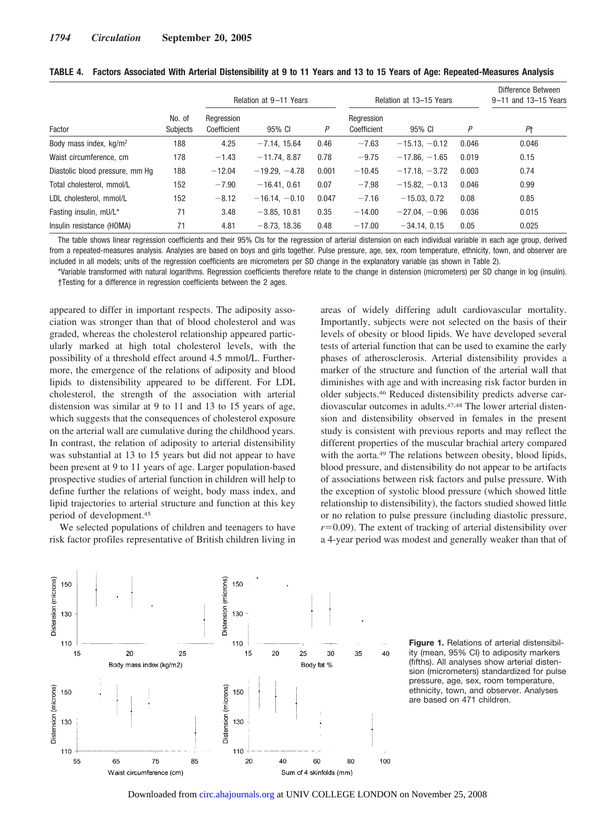|                                    |                    | Relation at 9-11 Years    |                 |       | Relation at 13-15 Years   |                    |       | Difference Between<br>$9-11$ and $13-15$ Years |  |
|------------------------------------|--------------------|---------------------------|-----------------|-------|---------------------------|--------------------|-------|------------------------------------------------|--|
| Factor                             | No. of<br>Subjects | Regression<br>Coefficient | 95% CI          | P     | Regression<br>Coefficient | 95% CI             | P     | Ρt                                             |  |
| Body mass index, kg/m <sup>2</sup> | 188                | 4.25                      | $-7.14.15.64$   | 0.46  | $-7.63$                   | $-15.13, -0.12$    | 0.046 | 0.046                                          |  |
| Waist circumference, cm            | 178                | $-1.43$                   | $-11.74.8.87$   | 0.78  | $-9.75$                   | $-17.86, -1.65$    | 0.019 | 0.15                                           |  |
| Diastolic blood pressure, mm Hq    | 188                | $-12.04$                  | $-19.29. -4.78$ | 0.001 | $-10.45$                  | $-17.18$ , $-3.72$ | 0.003 | 0.74                                           |  |
| Total cholesterol, mmol/L          | 152                | $-7.90$                   | $-16.41, 0.61$  | 0.07  | $-7.98$                   | $-15.82, -0.13$    | 0.046 | 0.99                                           |  |
| LDL cholesterol. mmol/L            | 152                | $-8.12$                   | $-16.14. -0.10$ | 0.047 | $-7.16$                   | $-15.03, 0.72$     | 0.08  | 0.85                                           |  |
| Fasting insulin, mU/L*             | 71                 | 3.48                      | $-3.85, 10.81$  | 0.35  | $-14.00$                  | $-27.04$ , $-0.96$ | 0.036 | 0.015                                          |  |
| Insulin resistance (HOMA)          | 71                 | 4.81                      | $-8.73, 18.36$  | 0.48  | $-17.00$                  | $-34.14, 0.15$     | 0.05  | 0.025                                          |  |

| TABLE 4. Factors Associated With Arterial Distensibility at 9 to 11 Years and 13 to 15 Years of Age: Repeated-Measures Analysis |  |  |  |
|---------------------------------------------------------------------------------------------------------------------------------|--|--|--|
|                                                                                                                                 |  |  |  |

The table shows linear regression coefficients and their 95% CIs for the regression of arterial distension on each individual variable in each age group, derived from a repeated-measures analysis. Analyses are based on boys and girls together. Pulse pressure, age, sex, room temperature, ethnicity, town, and observer are included in all models; units of the regression coefficients are micrometers per SD change in the explanatory variable (as shown in Table 2).

\*Variable transformed with natural logarithms. Regression coefficients therefore relate to the change in distension (micrometers) per SD change in log (insulin). †Testing for a difference in regression coefficients between the 2 ages.

appeared to differ in important respects. The adiposity association was stronger than that of blood cholesterol and was graded, whereas the cholesterol relationship appeared particularly marked at high total cholesterol levels, with the possibility of a threshold effect around 4.5 mmol/L. Furthermore, the emergence of the relations of adiposity and blood lipids to distensibility appeared to be different. For LDL cholesterol, the strength of the association with arterial distension was similar at 9 to 11 and 13 to 15 years of age, which suggests that the consequences of cholesterol exposure on the arterial wall are cumulative during the childhood years. In contrast, the relation of adiposity to arterial distensibility was substantial at 13 to 15 years but did not appear to have been present at 9 to 11 years of age. Larger population-based prospective studies of arterial function in children will help to define further the relations of weight, body mass index, and lipid trajectories to arterial structure and function at this key period of development.45

We selected populations of children and teenagers to have risk factor profiles representative of British children living in

areas of widely differing adult cardiovascular mortality. Importantly, subjects were not selected on the basis of their levels of obesity or blood lipids. We have developed several tests of arterial function that can be used to examine the early phases of atherosclerosis. Arterial distensibility provides a marker of the structure and function of the arterial wall that diminishes with age and with increasing risk factor burden in older subjects.46 Reduced distensibility predicts adverse cardiovascular outcomes in adults.47,48 The lower arterial distension and distensibility observed in females in the present study is consistent with previous reports and may reflect the different properties of the muscular brachial artery compared with the aorta.<sup>49</sup> The relations between obesity, blood lipids, blood pressure, and distensibility do not appear to be artifacts of associations between risk factors and pulse pressure. With the exception of systolic blood pressure (which showed little relationship to distensibility), the factors studied showed little or no relation to pulse pressure (including diastolic pressure,  $r=0.09$ ). The extent of tracking of arterial distensibility over a 4-year period was modest and generally weaker than that of



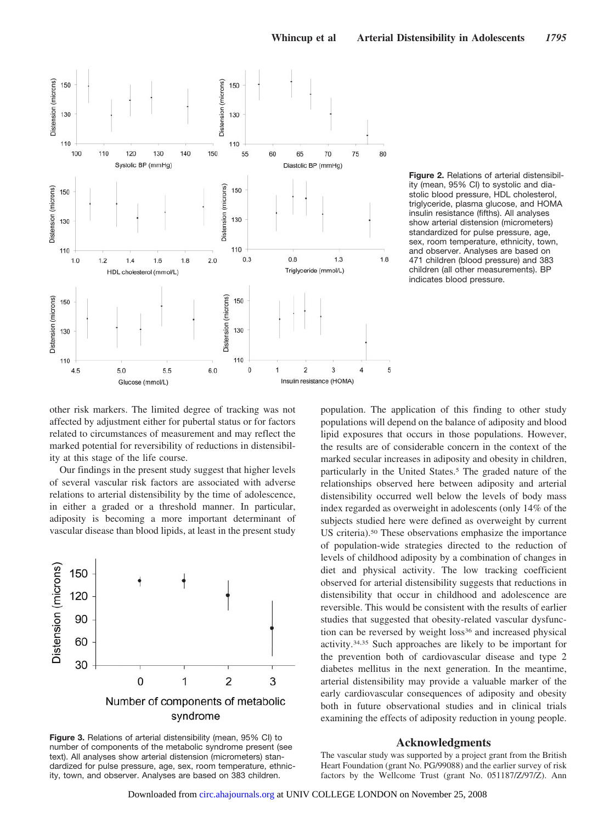



other risk markers. The limited degree of tracking was not affected by adjustment either for pubertal status or for factors related to circumstances of measurement and may reflect the marked potential for reversibility of reductions in distensibility at this stage of the life course.

Our findings in the present study suggest that higher levels of several vascular risk factors are associated with adverse relations to arterial distensibility by the time of adolescence, in either a graded or a threshold manner. In particular, adiposity is becoming a more important determinant of vascular disease than blood lipids, at least in the present study



**Figure 3.** Relations of arterial distensibility (mean, 95% CI) to number of components of the metabolic syndrome present (see text). All analyses show arterial distension (micrometers) standardized for pulse pressure, age, sex, room temperature, ethnicity, town, and observer. Analyses are based on 383 children.

population. The application of this finding to other study populations will depend on the balance of adiposity and blood lipid exposures that occurs in those populations. However, the results are of considerable concern in the context of the marked secular increases in adiposity and obesity in children, particularly in the United States.5 The graded nature of the relationships observed here between adiposity and arterial distensibility occurred well below the levels of body mass index regarded as overweight in adolescents (only 14% of the subjects studied here were defined as overweight by current US criteria).50 These observations emphasize the importance of population-wide strategies directed to the reduction of levels of childhood adiposity by a combination of changes in diet and physical activity. The low tracking coefficient observed for arterial distensibility suggests that reductions in distensibility that occur in childhood and adolescence are reversible. This would be consistent with the results of earlier studies that suggested that obesity-related vascular dysfunction can be reversed by weight loss<sup>36</sup> and increased physical activity.34,35 Such approaches are likely to be important for the prevention both of cardiovascular disease and type 2 diabetes mellitus in the next generation. In the meantime, arterial distensibility may provide a valuable marker of the early cardiovascular consequences of adiposity and obesity both in future observational studies and in clinical trials examining the effects of adiposity reduction in young people.

#### **Acknowledgments**

The vascular study was supported by a project grant from the British Heart Foundation (grant No. PG/99088) and the earlier survey of risk factors by the Wellcome Trust (grant No. 051187/Z/97/Z). Ann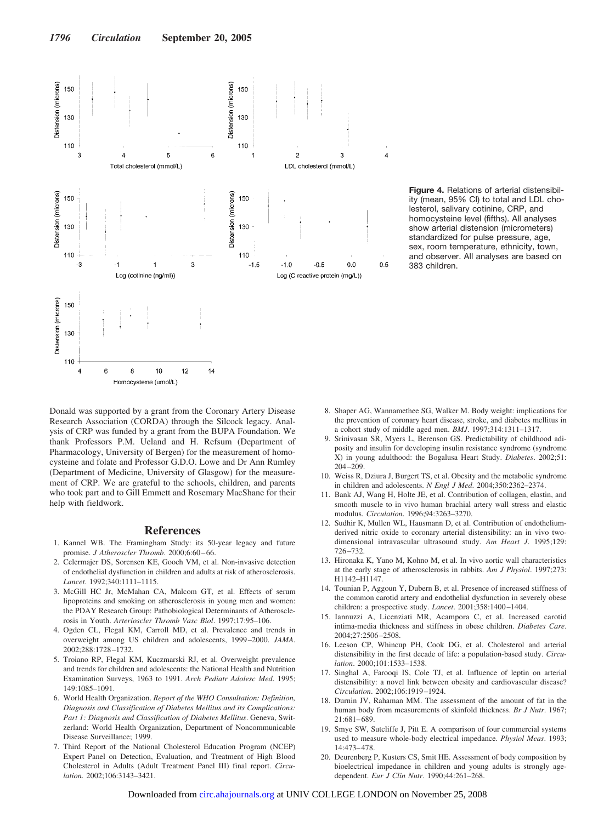

**Figure 4.** Relations of arterial distensibility (mean, 95% CI) to total and LDL cholesterol, salivary cotinine, CRP, and homocysteine level (fifths). All analyses show arterial distension (micrometers) standardized for pulse pressure, age, sex, room temperature, ethnicity, town, and observer. All analyses are based on 383 children.

Donald was supported by a grant from the Coronary Artery Disease Research Association (CORDA) through the Silcock legacy. Analysis of CRP was funded by a grant from the BUPA Foundation. We thank Professors P.M. Ueland and H. Refsum (Department of Pharmacology, University of Bergen) for the measurement of homocysteine and folate and Professor G.D.O. Lowe and Dr Ann Rumley (Department of Medicine, University of Glasgow) for the measurement of CRP. We are grateful to the schools, children, and parents who took part and to Gill Emmett and Rosemary MacShane for their help with fieldwork.

#### **References**

- 1. Kannel WB. The Framingham Study: its 50-year legacy and future promise. *J Atheroscler Thromb*. 2000;6:60-66.
- 2. Celermajer DS, Sorensen KE, Gooch VM, et al. Non-invasive detection of endothelial dysfunction in children and adults at risk of atherosclerosis. *Lancet*. 1992;340:1111–1115.
- 3. McGill HC Jr, McMahan CA, Malcom GT, et al. Effects of serum lipoproteins and smoking on atherosclerosis in young men and women: the PDAY Research Group: Pathobiological Determinants of Atherosclerosis in Youth. *Arterioscler Thromb Vasc Biol*. 1997;17:95–106.
- 4. Ogden CL, Flegal KM, Carroll MD, et al. Prevalence and trends in overweight among US children and adolescents, 1999 –2000. *JAMA*. 2002;288:1728 –1732.
- 5. Troiano RP, Flegal KM, Kuczmarski RJ, et al. Overweight prevalence and trends for children and adolescents: the National Health and Nutrition Examination Surveys, 1963 to 1991. *Arch Pediatr Adolesc Med*. 1995; 149:1085–1091.
- 6. World Health Organization. *Report of the WHO Consultation: Definition, Diagnosis and Classification of Diabetes Mellitus and its Complications: Part 1: Diagnosis and Classification of Diabetes Mellitus*. Geneva, Switzerland: World Health Organization, Department of Noncommunicable Disease Surveillance; 1999.
- 7. Third Report of the National Cholesterol Education Program (NCEP) Expert Panel on Detection, Evaluation, and Treatment of High Blood Cholesterol in Adults (Adult Treatment Panel III) final report. *Circulation.* 2002;106:3143–3421.
- 8. Shaper AG, Wannamethee SG, Walker M. Body weight: implications for the prevention of coronary heart disease, stroke, and diabetes mellitus in a cohort study of middle aged men. *BMJ*. 1997;314:1311–1317.
- 9. Srinivasan SR, Myers L, Berenson GS. Predictability of childhood adiposity and insulin for developing insulin resistance syndrome (syndrome X) in young adulthood: the Bogalusa Heart Study. *Diabetes*. 2002;51: 204 –209.
- 10. Weiss R, Dziura J, Burgert TS, et al. Obesity and the metabolic syndrome in children and adolescents. *N Engl J Med*. 2004;350:2362–2374.
- 11. Bank AJ, Wang H, Holte JE, et al. Contribution of collagen, elastin, and smooth muscle to in vivo human brachial artery wall stress and elastic modulus. *Circulation*. 1996;94:3263–3270.
- 12. Sudhir K, Mullen WL, Hausmann D, et al. Contribution of endotheliumderived nitric oxide to coronary arterial distensibility: an in vivo twodimensional intravascular ultrasound study. *Am Heart J*. 1995;129: 726 –732.
- 13. Hironaka K, Yano M, Kohno M, et al. In vivo aortic wall characteristics at the early stage of atherosclerosis in rabbits. *Am J Physiol*. 1997;273: H1142–H1147.
- 14. Tounian P, Aggoun Y, Dubern B, et al. Presence of increased stiffness of the common carotid artery and endothelial dysfunction in severely obese children: a prospective study. *Lancet*. 2001;358:1400 –1404.
- 15. Iannuzzi A, Licenziati MR, Acampora C, et al. Increased carotid intima-media thickness and stiffness in obese children. *Diabetes Care*. 2004;27:2506 –2508.
- 16. Leeson CP, Whincup PH, Cook DG, et al. Cholesterol and arterial distensibility in the first decade of life: a population-based study. *Circulation*. 2000;101:1533–1538.
- 17. Singhal A, Farooqi IS, Cole TJ, et al. Influence of leptin on arterial distensibility: a novel link between obesity and cardiovascular disease? *Circulation*. 2002;106:1919 –1924.
- 18. Durnin JV, Rahaman MM. The assessment of the amount of fat in the human body from measurements of skinfold thickness. *Br J Nutr*. 1967; 21:681– 689.
- 19. Smye SW, Sutcliffe J, Pitt E. A comparison of four commercial systems used to measure whole-body electrical impedance. *Physiol Meas*. 1993; 14:473– 478.
- 20. Deurenberg P, Kusters CS, Smit HE. Assessment of body composition by bioelectrical impedance in children and young adults is strongly agedependent. *Eur J Clin Nutr*. 1990;44:261–268.